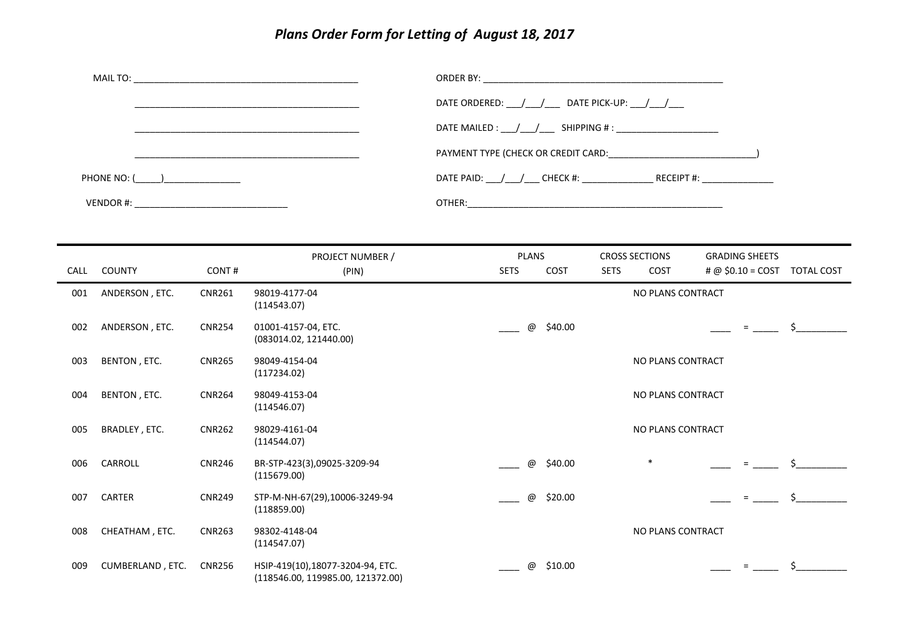## *Plans Order Form for Letting of August 18, 2017*

|                                            | PROJECT NUMBER / | PLANS<br><b>CROSS SECTIONS</b><br><b>GRADING SHEETS</b>                           |
|--------------------------------------------|------------------|-----------------------------------------------------------------------------------|
|                                            |                  |                                                                                   |
| VENDOR #: ________________________________ |                  |                                                                                   |
| PHONE NO: ( )                              |                  | DATE PAID: ___/___/___ CHECK #: __________________ RECEIPT #: __________________  |
|                                            |                  | PAYMENT TYPE (CHECK OR CREDIT CARD: CARDINGLE PAYMENT TYPE (CHECK OR CREDIT CARD: |
|                                            |                  | DATE MAILED : $\frac{1}{2}$ / SHIPPING # :                                        |
|                                            |                  | DATE ORDERED: $\frac{1}{\sqrt{2}}$ DATE PICK-UP: $\frac{1}{\sqrt{2}}$             |
|                                            |                  |                                                                                   |

| <b>CALL</b> | <b>COUNTY</b>    | CONT#         | (PIN)                                                                 | <b>SETS</b> |                           | COST    | <b>SETS</b> | COST              | # @ $$0.10 = COST$ | <b>TOTAL COST</b> |
|-------------|------------------|---------------|-----------------------------------------------------------------------|-------------|---------------------------|---------|-------------|-------------------|--------------------|-------------------|
| 001         | ANDERSON, ETC.   | <b>CNR261</b> | 98019-4177-04<br>(114543.07)                                          |             |                           |         |             | NO PLANS CONTRACT |                    |                   |
| 002         | ANDERSON, ETC.   | <b>CNR254</b> | 01001-4157-04, ETC.<br>(083014.02, 121440.00)                         |             | @                         | \$40.00 |             |                   | $=$                | \$.               |
| 003         | BENTON, ETC.     | <b>CNR265</b> | 98049-4154-04<br>(117234.02)                                          |             |                           |         |             | NO PLANS CONTRACT |                    |                   |
| 004         | BENTON, ETC.     | <b>CNR264</b> | 98049-4153-04<br>(114546.07)                                          |             |                           |         |             | NO PLANS CONTRACT |                    |                   |
| 005         | BRADLEY, ETC.    | <b>CNR262</b> | 98029-4161-04<br>(114544.07)                                          |             |                           |         |             | NO PLANS CONTRACT |                    |                   |
| 006         | CARROLL          | <b>CNR246</b> | BR-STP-423(3),09025-3209-94<br>(115679.00)                            |             | $^\text{\textregistered}$ | \$40.00 |             | $\ast$            |                    |                   |
| 007         | <b>CARTER</b>    | <b>CNR249</b> | STP-M-NH-67(29),10006-3249-94<br>(118859.00)                          |             | $^\copyright$             | \$20.00 |             |                   | $=$                | Ś.                |
| 008         | CHEATHAM, ETC.   | <b>CNR263</b> | 98302-4148-04<br>(114547.07)                                          |             |                           |         |             | NO PLANS CONTRACT |                    |                   |
| 009         | CUMBERLAND, ETC. | <b>CNR256</b> | HSIP-419(10),18077-3204-94, ETC.<br>(118546.00, 119985.00, 121372.00) |             | @                         | \$10.00 |             |                   |                    |                   |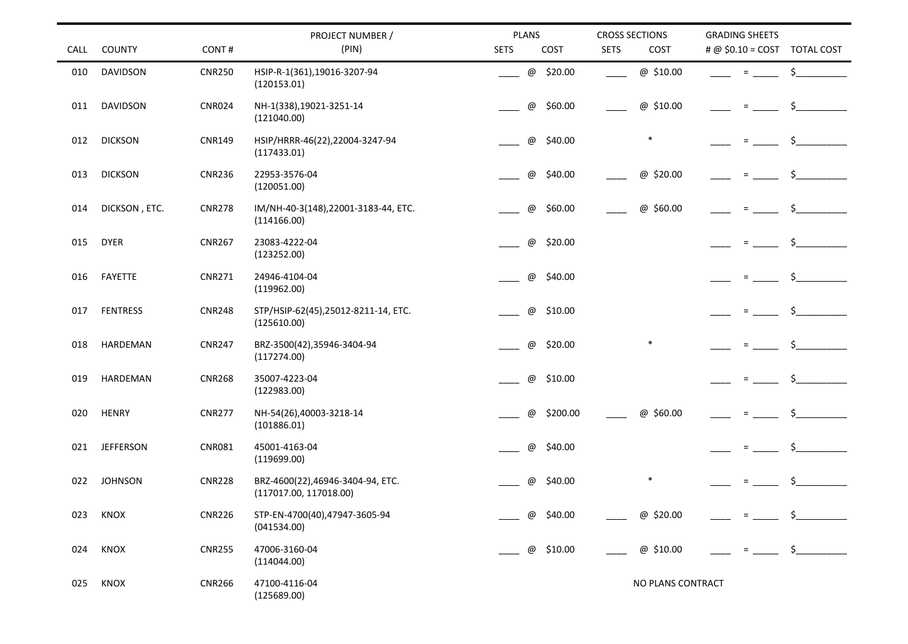| CALL | <b>COUNTY</b>    | CONT#         | PROJECT NUMBER /<br>(PIN)                                  |                           | <b>PLANS</b><br>COST<br><b>SETS</b> |             | <b>CROSS SECTIONS</b><br>COST | <b>GRADING SHEETS</b><br># @ \$0.10 = COST TOTAL COST |    |
|------|------------------|---------------|------------------------------------------------------------|---------------------------|-------------------------------------|-------------|-------------------------------|-------------------------------------------------------|----|
|      |                  |               |                                                            |                           |                                     | <b>SETS</b> |                               |                                                       |    |
| 010  | DAVIDSON         | <b>CNR250</b> | HSIP-R-1(361),19016-3207-94<br>(120153.01)                 | @                         | \$20.00                             |             | @ \$10.00                     | $=$                                                   | \$ |
| 011  | <b>DAVIDSON</b>  | <b>CNR024</b> | NH-1(338),19021-3251-14<br>(121040.00)                     | $^\copyright$             | \$60.00                             |             | @ \$10.00                     | $=$                                                   | \$ |
| 012  | <b>DICKSON</b>   | <b>CNR149</b> | HSIP/HRRR-46(22),22004-3247-94<br>(117433.01)              | $^\copyright$             | \$40.00                             |             | $\ast$                        | $\equiv$                                              | \$ |
| 013  | <b>DICKSON</b>   | <b>CNR236</b> | 22953-3576-04<br>(120051.00)                               | $^\copyright$             | \$40.00                             |             | $^\copyright$<br>\$20.00      | $=$                                                   | Ś. |
| 014  | DICKSON, ETC.    | <b>CNR278</b> | IM/NH-40-3(148),22001-3183-44, ETC.<br>(114166.00)         | $^\text{\textregistered}$ | \$60.00                             |             | @ \$60.00                     | $=$                                                   | Ś. |
| 015  | <b>DYER</b>      | <b>CNR267</b> | 23083-4222-04<br>(123252.00)                               | $^\copyright$             | \$20.00                             |             |                               | $\quad =$                                             | \$ |
| 016  | FAYETTE          | <b>CNR271</b> | 24946-4104-04<br>(119962.00)                               | @                         | \$40.00                             |             |                               | $=$                                                   | Ś. |
| 017  | <b>FENTRESS</b>  | <b>CNR248</b> | STP/HSIP-62(45),25012-8211-14, ETC.<br>(125610.00)         | $^\copyright$             | \$10.00                             |             |                               | $=$                                                   | \$ |
| 018  | HARDEMAN         | <b>CNR247</b> | BRZ-3500(42),35946-3404-94<br>(117274.00)                  | $^\text{\textregistered}$ | \$20.00                             |             | $\ast$                        | $=$                                                   | Ś. |
| 019  | HARDEMAN         | <b>CNR268</b> | 35007-4223-04<br>(122983.00)                               | @                         | \$10.00                             |             |                               | $\equiv$                                              |    |
| 020  | <b>HENRY</b>     | <b>CNR277</b> | NH-54(26),40003-3218-14<br>(101886.01)                     | $^\copyright$             | \$200.00                            |             | @ \$60.00                     | $\equiv$                                              | \$ |
| 021  | <b>JEFFERSON</b> | <b>CNR081</b> | 45001-4163-04<br>(119699.00)                               | @                         | \$40.00                             |             |                               | $=$                                                   | \$ |
| 022  | <b>JOHNSON</b>   | <b>CNR228</b> | BRZ-4600(22),46946-3404-94, ETC.<br>(117017.00, 117018.00) | $^\text{\textregistered}$ | \$40.00                             |             |                               | $=$                                                   | \$ |
| 023  | KNOX             | <b>CNR226</b> | STP-EN-4700(40),47947-3605-94<br>(041534.00)               | @                         | \$40.00                             |             | @ \$20.00                     |                                                       | Ś. |
| 024  | KNOX             | <b>CNR255</b> | 47006-3160-04<br>(114044.00)                               | $^\copyright$             | \$10.00                             |             | @ \$10.00                     | $=$                                                   |    |
| 025  | KNOX             | <b>CNR266</b> | 47100-4116-04<br>(125689.00)                               |                           |                                     |             | NO PLANS CONTRACT             |                                                       |    |